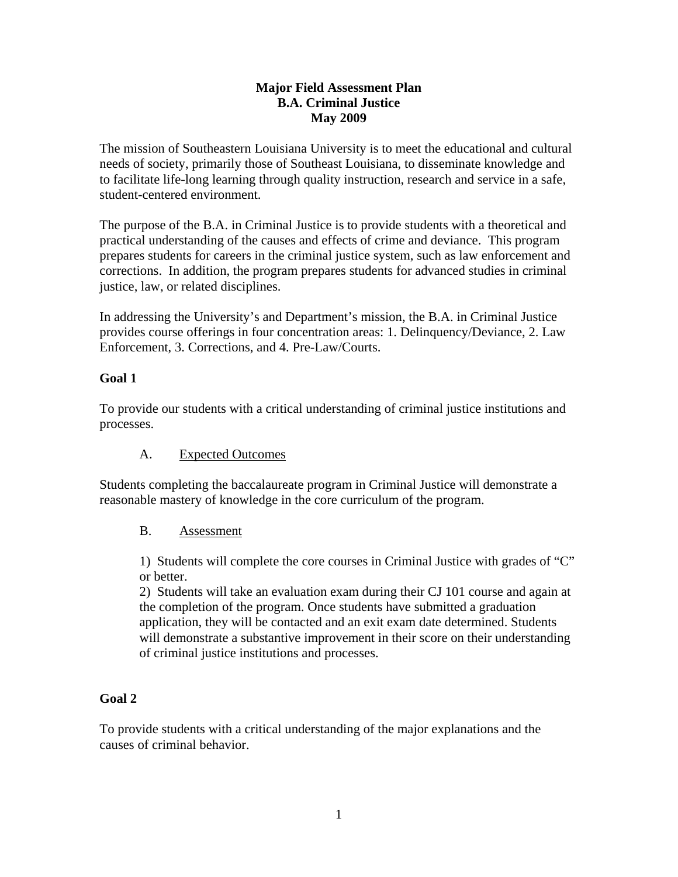### **Major Field Assessment Plan B.A. Criminal Justice May 2009**

The mission of Southeastern Louisiana University is to meet the educational and cultural needs of society, primarily those of Southeast Louisiana, to disseminate knowledge and to facilitate life-long learning through quality instruction, research and service in a safe, student-centered environment.

The purpose of the B.A. in Criminal Justice is to provide students with a theoretical and practical understanding of the causes and effects of crime and deviance. This program prepares students for careers in the criminal justice system, such as law enforcement and corrections. In addition, the program prepares students for advanced studies in criminal justice, law, or related disciplines.

In addressing the University's and Department's mission, the B.A. in Criminal Justice provides course offerings in four concentration areas: 1. Delinquency/Deviance, 2. Law Enforcement, 3. Corrections, and 4. Pre-Law/Courts.

# **Goal 1**

To provide our students with a critical understanding of criminal justice institutions and processes.

# A. Expected Outcomes

Students completing the baccalaureate program in Criminal Justice will demonstrate a reasonable mastery of knowledge in the core curriculum of the program.

# B. Assessment

1) Students will complete the core courses in Criminal Justice with grades of "C" or better.

2) Students will take an evaluation exam during their CJ 101 course and again at the completion of the program. Once students have submitted a graduation application, they will be contacted and an exit exam date determined. Students will demonstrate a substantive improvement in their score on their understanding of criminal justice institutions and processes.

# **Goal 2**

To provide students with a critical understanding of the major explanations and the causes of criminal behavior.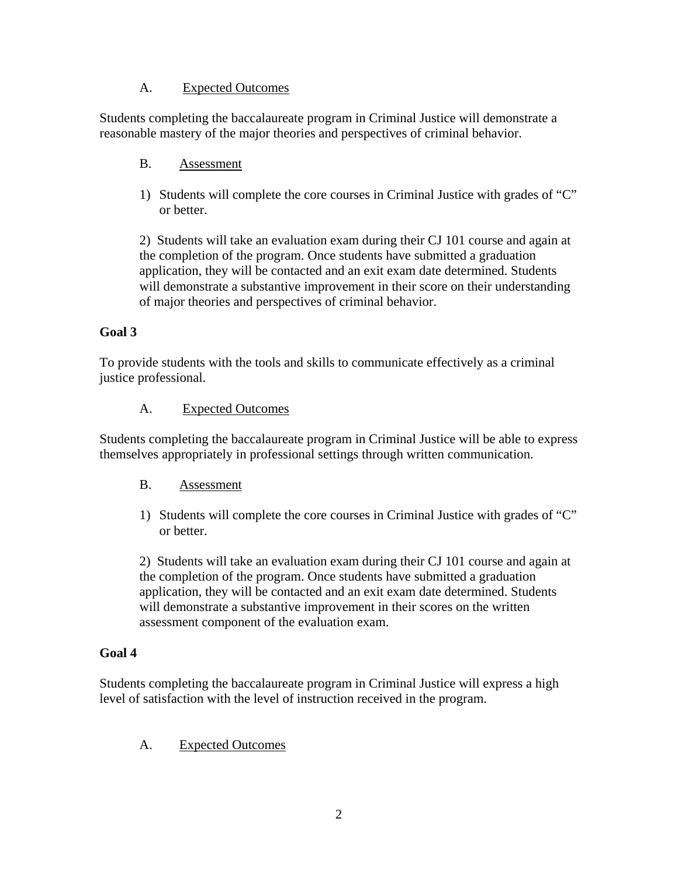### A. Expected Outcomes

Students completing the baccalaureate program in Criminal Justice will demonstrate a reasonable mastery of the major theories and perspectives of criminal behavior.

#### B. Assessment

1) Students will complete the core courses in Criminal Justice with grades of "C" or better.

2) Students will take an evaluation exam during their CJ 101 course and again at the completion of the program. Once students have submitted a graduation application, they will be contacted and an exit exam date determined. Students will demonstrate a substantive improvement in their score on their understanding of major theories and perspectives of criminal behavior.

# **Goal 3**

To provide students with the tools and skills to communicate effectively as a criminal justice professional.

#### A. Expected Outcomes

Students completing the baccalaureate program in Criminal Justice will be able to express themselves appropriately in professional settings through written communication.

#### B. Assessment

1) Students will complete the core courses in Criminal Justice with grades of "C" or better.

2) Students will take an evaluation exam during their CJ 101 course and again at the completion of the program. Once students have submitted a graduation application, they will be contacted and an exit exam date determined. Students will demonstrate a substantive improvement in their scores on the written assessment component of the evaluation exam.

# **Goal 4**

Students completing the baccalaureate program in Criminal Justice will express a high level of satisfaction with the level of instruction received in the program.

# A. Expected Outcomes